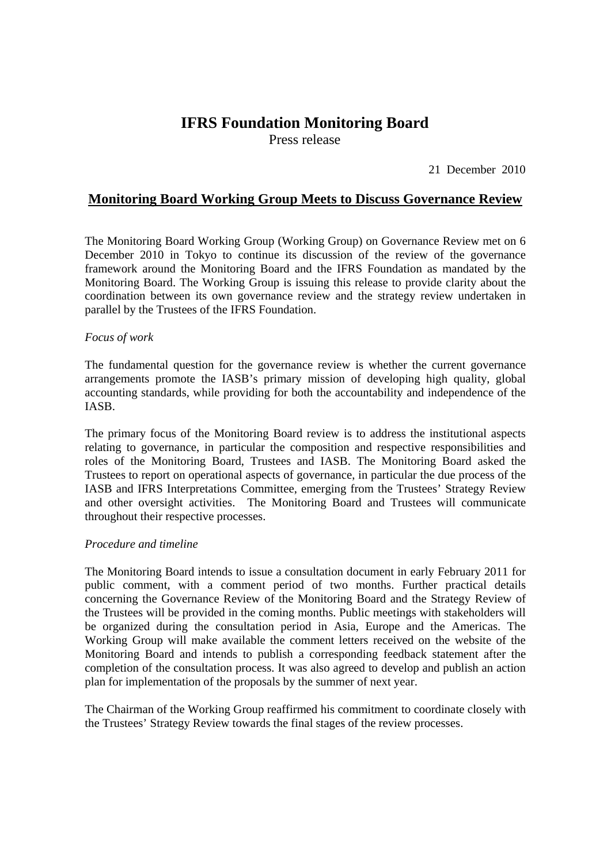# **IFRS Foundation Monitoring Board**

Press release

21 December 2010

## **Monitoring Board Working Group Meets to Discuss Governance Review**

The Monitoring Board Working Group (Working Group) on Governance Review met on 6 December 2010 in Tokyo to continue its discussion of the review of the governance framework around the Monitoring Board and the IFRS Foundation as mandated by the Monitoring Board. The Working Group is issuing this release to provide clarity about the coordination between its own governance review and the strategy review undertaken in parallel by the Trustees of the IFRS Foundation.

### *Focus of work*

The fundamental question for the governance review is whether the current governance arrangements promote the IASB's primary mission of developing high quality, global accounting standards, while providing for both the accountability and independence of the IASB.

The primary focus of the Monitoring Board review is to address the institutional aspects relating to governance, in particular the composition and respective responsibilities and roles of the Monitoring Board, Trustees and IASB. The Monitoring Board asked the Trustees to report on operational aspects of governance, in particular the due process of the IASB and IFRS Interpretations Committee, emerging from the Trustees' Strategy Review and other oversight activities. The Monitoring Board and Trustees will communicate throughout their respective processes.

#### *Procedure and timeline*

The Monitoring Board intends to issue a consultation document in early February 2011 for public comment, with a comment period of two months. Further practical details concerning the Governance Review of the Monitoring Board and the Strategy Review of the Trustees will be provided in the coming months. Public meetings with stakeholders will be organized during the consultation period in Asia, Europe and the Americas. The Working Group will make available the comment letters received on the website of the Monitoring Board and intends to publish a corresponding feedback statement after the completion of the consultation process. It was also agreed to develop and publish an action plan for implementation of the proposals by the summer of next year.

The Chairman of the Working Group reaffirmed his commitment to coordinate closely with the Trustees' Strategy Review towards the final stages of the review processes.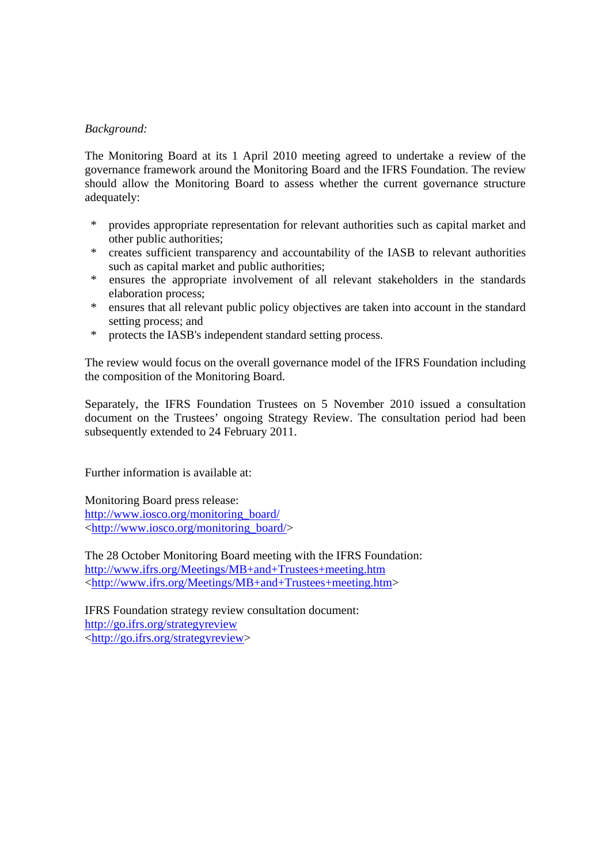### *Background:*

The Monitoring Board at its 1 April 2010 meeting agreed to undertake a review of the governance framework around the Monitoring Board and the IFRS Foundation. The review should allow the Monitoring Board to assess whether the current governance structure adequately:

- \* provides appropriate representation for relevant authorities such as capital market and other public authorities;
- \* creates sufficient transparency and accountability of the IASB to relevant authorities such as capital market and public authorities;
- \* ensures the appropriate involvement of all relevant stakeholders in the standards elaboration process;
- \* ensures that all relevant public policy objectives are taken into account in the standard setting process; and
- \* protects the IASB's independent standard setting process.

The review would focus on the overall governance model of the IFRS Foundation including the composition of the Monitoring Board.

Separately, the IFRS Foundation Trustees on 5 November 2010 issued a consultation document on the Trustees' ongoing Strategy Review. The consultation period had been subsequently extended to 24 February 2011.

Further information is available at:

Monitoring Board press release: http://www.iosco.org/monitoring\_board/ <http://www.iosco.org/monitoring\_board/>

The 28 October Monitoring Board meeting with the IFRS Foundation: http://www.ifrs.org/Meetings/MB+and+Trustees+meeting.htm <http://www.ifrs.org/Meetings/MB+and+Trustees+meeting.htm>

IFRS Foundation strategy review consultation document: http://go.ifrs.org/strategyreview <http://go.ifrs.org/strategyreview>